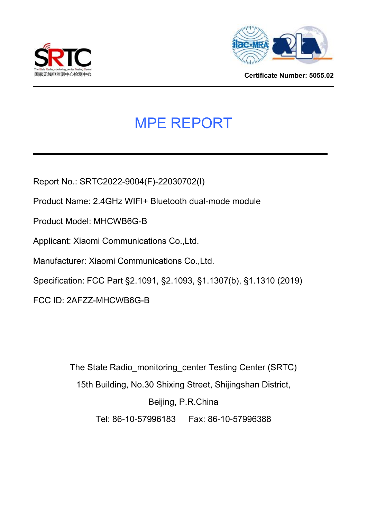



**Certificate Number: 5055.02**

# MPE REPORT

Report No.: SRTC2022-9004(F)-22030702(I)

Product Name: 2.4GHz WIFI+ Bluetooth dual-mode module

Product Model: MHCWB6G-B

Applicant: Xiaomi Communications Co.,Ltd.

Manufacturer: Xiaomi Communications Co.,Ltd.

Specification: FCC Part §2.1091, §2.1093, §1.1307(b), §1.1310 (2019)

FCC ID: 2AFZZ-MHCWB6G-B

The State Radio\_monitoring\_center Testing Center (SRTC) 15th Building, No.30 Shixing Street, Shijingshan District, Beijing, P.R.China Tel: 86-10-57996183 Fax: 86-10-57996388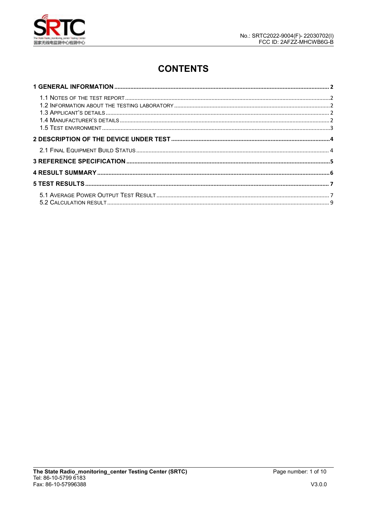

# **CONTENTS**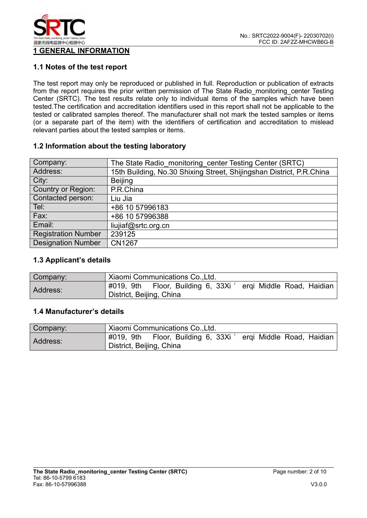

#### **1.1 Notes of the test report**

The test report may only be reproduced or published in full. Reproduction or publication of extracts from the report requires the prior written permission of The State Radio\_monitoring\_center Testing Center (SRTC). The test results relate only to individual items of the samples which have been tested. The certification and accreditation identifiers used in this report shall not be applicable to the tested or calibrated samples thereof. The manufacturer shall not mark the tested samples or items (or a separate part of the item) with the identifiers of certification and accreditation to mislead relevant parties about the tested samples or items.

#### **1.2 Information about the testing laboratory**

| Company:                   | The State Radio monitoring center Testing Center (SRTC)              |
|----------------------------|----------------------------------------------------------------------|
| Address:                   | 15th Building, No.30 Shixing Street, Shijingshan District, P.R.China |
| City:                      | <b>Beijing</b>                                                       |
| Country or Region:         | P.R.China                                                            |
| Contacted person:          | Liu Jia                                                              |
| Tel:                       | +86 10 57996183                                                      |
| Fax:                       | +86 10 57996388                                                      |
| Email:                     | liujiaf@srtc.org.cn                                                  |
| <b>Registration Number</b> | 239125                                                               |
| <b>Designation Number</b>  | <b>CN1267</b>                                                        |
|                            |                                                                      |

#### **1.3 Applicant's details**

| Company: | Xiaomi Communications Co., Ltd.                                                               |  |  |  |
|----------|-----------------------------------------------------------------------------------------------|--|--|--|
| Address: | Floor, Building 6, 33Xi<br>#019, 9th<br>ergi Middle Road, Haidian<br>District, Beijing, China |  |  |  |

#### **1.4 Manufacturer's details**

| Company: | Xiaomi Communications Co., Ltd.                                                               |  |  |
|----------|-----------------------------------------------------------------------------------------------|--|--|
| Address: | Floor, Building 6, 33Xi<br>#019, 9th<br>ergi Middle Road, Haidian<br>District, Beijing, China |  |  |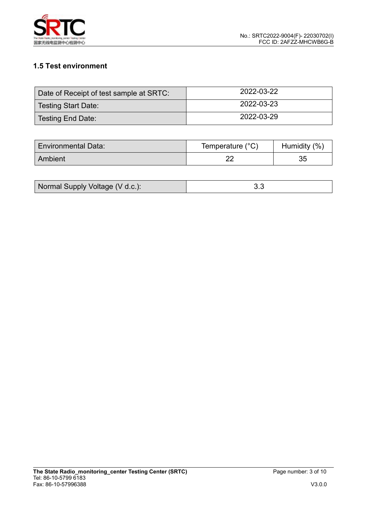

# **1.5 Test environment**

| Date of Receipt of test sample at SRTC: | 2022-03-22 |
|-----------------------------------------|------------|
| Testing Start Date:                     | 2022-03-23 |
| Testing End Date:                       | 2022-03-29 |

| <b>Environmental Data:</b> | Temperature (°C) | (%<br>Humidity |
|----------------------------|------------------|----------------|
| Ambient                    | c                | ◡◡             |

| Normal Supply Voltage (V d.c.): |  |
|---------------------------------|--|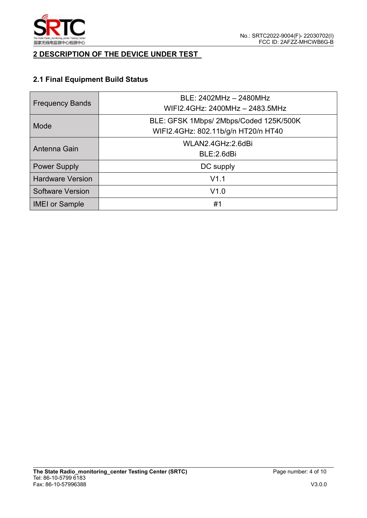

### **2 DESCRIPTION OF THE DEVICE UNDER TEST**

# **2.1 Final Equipment Build Status**

| <b>Frequency Bands</b>  | BLE: 2402MHz - 2480MHz<br>WIFI2.4GHz: 2400MHz - 2483.5MHz                     |  |  |
|-------------------------|-------------------------------------------------------------------------------|--|--|
| Mode                    | BLE: GFSK 1Mbps/ 2Mbps/Coded 125K/500K<br>WIFI2.4GHz: 802.11b/g/n HT20/n HT40 |  |  |
| Antenna Gain            | WLAN2.4GHz:2.6dBi<br>BLE:2.6dBi                                               |  |  |
| <b>Power Supply</b>     | DC supply                                                                     |  |  |
| <b>Hardware Version</b> | V1.1                                                                          |  |  |
| <b>Software Version</b> | V1.0                                                                          |  |  |
| <b>IMEI or Sample</b>   | #1                                                                            |  |  |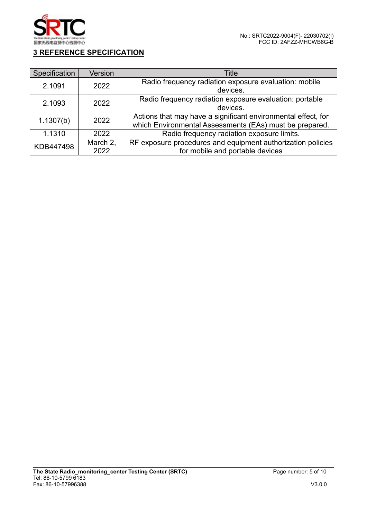

# **3 REFERENCE SPECIFICATION**

| Specification     | Version  | Title                                                         |
|-------------------|----------|---------------------------------------------------------------|
| 2.1091<br>2022    |          | Radio frequency radiation exposure evaluation: mobile         |
|                   |          | devices.                                                      |
| 2.1093<br>2022    |          | Radio frequency radiation exposure evaluation: portable       |
|                   |          | devices.                                                      |
|                   |          | Actions that may have a significant environmental effect, for |
| 2022<br>1.1307(b) |          | which Environmental Assessments (EAs) must be prepared.       |
| 1.1310            | 2022     | Radio frequency radiation exposure limits.                    |
| KDB447498         | March 2, | RF exposure procedures and equipment authorization policies   |
|                   | 2022     | for mobile and portable devices                               |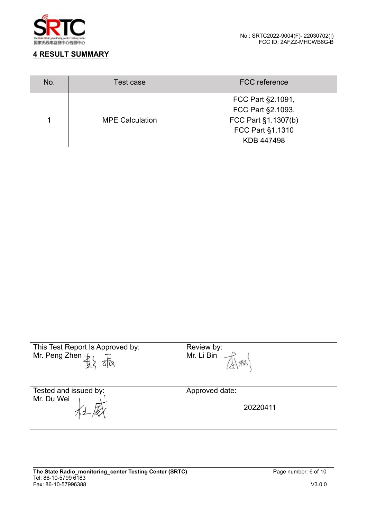

### **4 RESULT SUMMARY**

| No. | Test case              | <b>FCC</b> reference |
|-----|------------------------|----------------------|
|     | FCC Part §2.1091,      |                      |
|     |                        | FCC Part §2.1093,    |
|     | <b>MPE Calculation</b> | FCC Part §1.1307(b)  |
|     |                        | FCC Part §1.1310     |
|     |                        | KDB 447498           |

| This Test Report Is Approved by:<br>Mr. Peng Zhen $\frac{1}{k}l$<br>tta | Review by:<br>Mr. Li Bin |
|-------------------------------------------------------------------------|--------------------------|
| Tested and issued by:                                                   | Approved date:           |
| Mr. Du Wei                                                              | 20220411                 |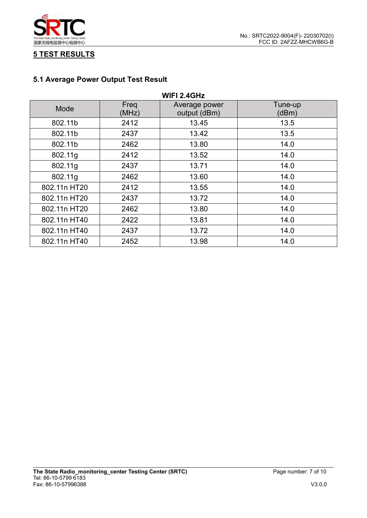

## **5 TEST RESULTS**

# **5.1 Average Power Output Test Result**

| <b>WIFI 2.4GHz</b> |               |                               |                  |
|--------------------|---------------|-------------------------------|------------------|
| Mode               | Freq<br>(MHz) | Average power<br>output (dBm) | Tune-up<br>(dBm) |
| 802.11b            | 2412          | 13.45                         | 13.5             |
| 802.11b            | 2437          | 13.42                         | 13.5             |
| 802.11b            | 2462          | 13.80                         | 14.0             |
| 802.11g            | 2412          | 13.52                         | 14.0             |
| 802.11g            | 2437          | 13.71                         | 14.0             |
| 802.11g            | 2462          | 13.60                         | 14.0             |
| 802.11n HT20       | 2412          | 13.55                         | 14.0             |
| 802.11n HT20       | 2437          | 13.72                         | 14.0             |
| 802.11n HT20       | 2462          | 13.80                         | 14.0             |
| 802.11n HT40       | 2422          | 13.81                         | 14.0             |
| 802.11n HT40       | 2437          | 13.72                         | 14.0             |
| 802.11n HT40       | 2452          | 13.98                         | 14.0             |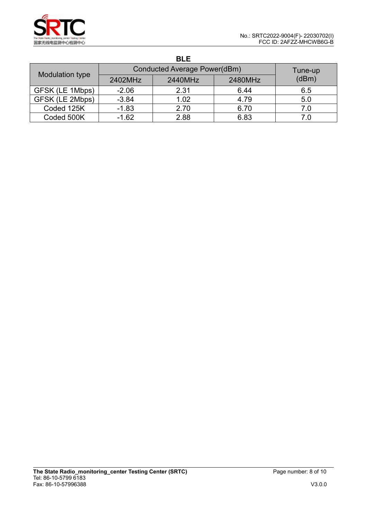|                 |         | <b>BLE</b>                   |         |         |
|-----------------|---------|------------------------------|---------|---------|
|                 |         | Conducted Average Power(dBm) |         | Tune-up |
| Modulation type | 2402MHz | 2440MHz                      | 2480MHz | (dBm)   |
| GFSK (LE 1Mbps) | $-2.06$ | 2.31                         | 6.44    | 6.5     |
| GFSK (LE 2Mbps) | $-3.84$ | 1.02                         | 4.79    | 5.0     |
| Coded 125K      | $-1.83$ | 2.70                         | 6.70    | 7.0     |
| Coded 500K      | $-1.62$ | 2.88                         | 6.83    | 7.0     |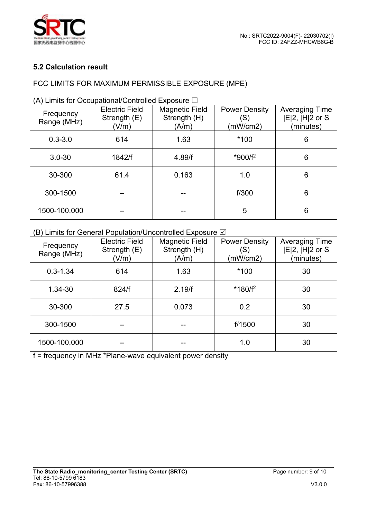

#### **5.2 Calculation result**

### FCC LIMITS FOR MAXIMUM PERMISSIBLE EXPOSURE (MPE)

| <b>Electric Field</b><br><b>Magnetic Field</b><br><b>Power Density</b><br>Averaging Time<br>Frequency<br>$ E 2$ , $ H 2$ or S<br>Strength (H)<br>Strength (E)<br>(S)<br>Range (MHz)<br>(A/m)<br>(mW/cm2)<br>(V/m)<br>(minutes)<br>*100<br>$0.3 - 3.0$<br>1.63<br>614<br>6<br>*900/f <sup>2</sup><br>6<br>$3.0 - 30$<br>1842/f<br>4.89/f<br>$6\phantom{1}$<br>30-300<br>61.4<br>0.163<br>1.0<br>6<br>f/300<br>300-1500<br>5<br>6<br>1500-100,000<br>-- |  |  |  |  |
|-------------------------------------------------------------------------------------------------------------------------------------------------------------------------------------------------------------------------------------------------------------------------------------------------------------------------------------------------------------------------------------------------------------------------------------------------------|--|--|--|--|
|                                                                                                                                                                                                                                                                                                                                                                                                                                                       |  |  |  |  |
|                                                                                                                                                                                                                                                                                                                                                                                                                                                       |  |  |  |  |
|                                                                                                                                                                                                                                                                                                                                                                                                                                                       |  |  |  |  |
|                                                                                                                                                                                                                                                                                                                                                                                                                                                       |  |  |  |  |
|                                                                                                                                                                                                                                                                                                                                                                                                                                                       |  |  |  |  |
|                                                                                                                                                                                                                                                                                                                                                                                                                                                       |  |  |  |  |

(A) Limits for Occupational/Controlled Exposure  $\Box$ 

#### (B) Limits for General Population/Uncontrolled Exposure  $\boxtimes$

| Frequency<br>Range (MHz) | <b>Electric Field</b><br>Strength $(E)$<br>(V/m) | Magnetic Field<br>Strength (H)<br>(A/m) | <b>Power Density</b><br>(S)<br>(mW/cm2) | <b>Averaging Time</b><br>$ E 2$ , $ H 2$ or S<br>(minutes) |  |
|--------------------------|--------------------------------------------------|-----------------------------------------|-----------------------------------------|------------------------------------------------------------|--|
| $0.3 - 1.34$             | 614<br>1.63                                      |                                         | $*100$                                  | 30                                                         |  |
| 1.34-30                  | 824/f                                            | 2.19/f                                  | $*180/f^2$                              | 30                                                         |  |
| 30-300                   | 27.5                                             | 0.073                                   | 0.2                                     | 30                                                         |  |
| 300-1500                 |                                                  | --                                      | f/1500                                  | 30                                                         |  |
| 1500-100,000             |                                                  |                                         | 1.0                                     | 30                                                         |  |

f = frequency in MHz \*Plane-wave equivalent power density